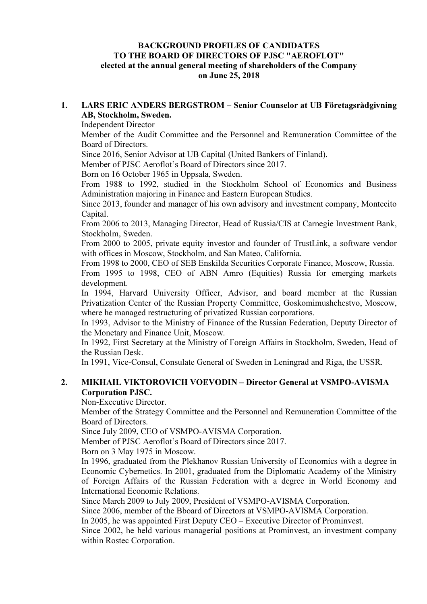### BACKGROUND PROFILES OF CANDIDATES TO THE BOARD OF DIRECTORS OF PJSC "AEROFLOT" elected at the annual general meeting of shareholders of the Company on June 25, 2018

### 1. LARS ERIC ANDERS BERGSTROM – Senior Counselor at UB Företagsrådgivning AB, Stockholm, Sweden.

Independent Director

Member of the Audit Committee and the Personnel and Remuneration Committee of the Board of Directors.

Since 2016, Senior Advisor at UB Capital (United Bankers of Finland).

Member of PJSC Aeroflot's Board of Directors since 2017.

Born on 16 October 1965 in Uppsala, Sweden.

From 1988 to 1992, studied in the Stockholm School of Economics and Business Administration majoring in Finance and Eastern European Studies.

Since 2013, founder and manager of his own advisory and investment company, Montecito Capital.

From 2006 to 2013, Managing Director, Head of Russia/CIS at Carnegie Investment Bank, Stockholm, Sweden.

From 2000 to 2005, private equity investor and founder of TrustLink, a software vendor with offices in Moscow, Stockholm, and San Mateo, California.

From 1998 to 2000, CEO of SEB Enskilda Securities Corporate Finance, Moscow, Russia. From 1995 to 1998, CEO of ABN Amro (Equities) Russia for emerging markets development.

In 1994, Harvard University Officer, Advisor, and board member at the Russian Privatization Center of the Russian Property Committee, Goskomimushchestvo, Moscow, where he managed restructuring of privatized Russian corporations.

In 1993, Advisor to the Ministry of Finance of the Russian Federation, Deputy Director of the Monetary and Finance Unit, Moscow.

In 1992, First Secretary at the Ministry of Foreign Affairs in Stockholm, Sweden, Head of the Russian Desk.

In 1991, Vice-Consul, Consulate General of Sweden in Leningrad and Riga, the USSR.

## 2. MIKHAIL VIKTOROVICH VOEVODIN – Director General at VSMPO-AVISMA Corporation PJSC.

Non-Executive Director.

Member of the Strategy Committee and the Personnel and Remuneration Committee of the Board of Directors.

Since July 2009, CEO of VSMPO-AVISMA Corporation.

Member of PJSC Aeroflot's Board of Directors since 2017.

Born on 3 May 1975 in Moscow.

In 1996, graduated from the Plekhanov Russian University of Economics with a degree in Economic Cybernetics. In 2001, graduated from the Diplomatic Academy of the Ministry of Foreign Affairs of the Russian Federation with a degree in World Economy and International Economic Relations.

Since March 2009 to July 2009, President of VSMPO-AVISMA Corporation.

Since 2006, member of the Bboard of Directors at VSMPO-AVISMA Corporation.

In 2005, he was appointed First Deputy CEO – Executive Director of Prominvest.

Since 2002, he held various managerial positions at Prominvest, an investment company within Rostec Corporation.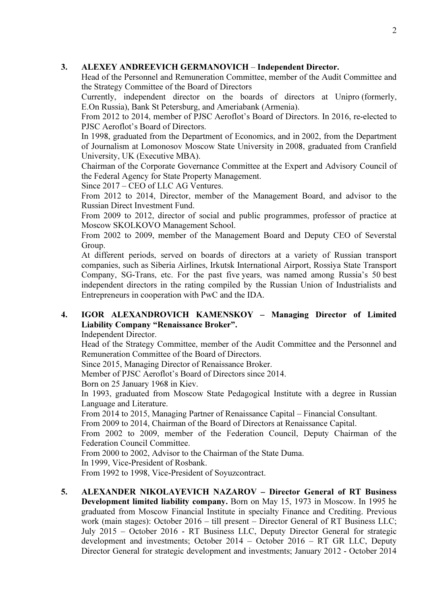### 3. ALEXEY ANDREEVICH GERMANOVICH – Independent Director.

Head of the Personnel and Remuneration Committee, member of the Audit Committee and the Strategy Committee of the Board of Directors

Currently, independent director on the boards of directors at Unipro (formerly, E.On Russia), Bank St Petersburg, and Ameriabank (Armenia).

From 2012 to 2014, member of PJSC Aeroflot's Board of Directors. In 2016, re-elected to PJSC Aeroflot's Board of Directors.

In 1998, graduated from the Department of Economics, and in 2002, from the Department of Journalism at Lomonosov Moscow State University in 2008, graduated from Cranfield University, UK (Executive MBA).

Chairman of the Corporate Governance Committee at the Expert and Advisory Council of the Federal Agency for State Property Management.

Since 2017 – CEO of LLC AG Ventures.

From 2012 to 2014, Director, member of the Management Board, and advisor to the Russian Direct Investment Fund.

From 2009 to 2012, director of social and public programmes, professor of practice at Moscow SKOLKOVO Management School.

From 2002 to 2009, member of the Management Board and Deputy CEO of Severstal Group.

At different periods, served on boards of directors at a variety of Russian transport companies, such as Siberia Airlines, Irkutsk International Airport, Rossiya State Transport Company, SG-Trans, etc. For the past five years, was named among Russia's 50 best independent directors in the rating compiled by the Russian Union of Industrialists and Entrepreneurs in cooperation with PwC and the IDA.

# 4. IGOR ALEXANDROVICH KAMENSKOY – Managing Director of Limited Liability Company "Renaissance Broker".

Independent Director.

Head of the Strategy Committee, member of the Audit Committee and the Personnel and Remuneration Committee of the Board of Directors.

Since 2015, Managing Director of Renaissance Broker.

Member of PJSC Aeroflot's Board of Directors since 2014.

Born on 25 January 1968 in Kiev.

In 1993, graduated from Moscow State Pedagogical Institute with a degree in Russian Language and Literature.

From 2014 to 2015, Managing Partner of Renaissance Capital – Financial Consultant.

From 2009 to 2014, Chairman of the Board of Directors at Renaissance Capital.

From 2002 to 2009, member of the Federation Council, Deputy Chairman of the Federation Council Committee.

From 2000 to 2002, Advisor to the Chairman of the State Duma.

In 1999, Vice-President of Rosbank.

From 1992 to 1998, Vice-President of Soyuzcontract.

5. ALEXANDER NIKOLAYEVICH NAZAROV – Director General of RT Business Development limited liability company. Born on May 15, 1973 in Moscow. In 1995 he graduated from Moscow Financial Institute in specialty Finance and Crediting. Previous work (main stages): October 2016 – till present – Director General of RT Business LLC; July 2015 – October 2016 - RT Business LLC, Deputy Director General for strategic development and investments; October 2014 – October 2016 – RT GR LLC, Deputy Director General for strategic development and investments; January 2012 - October 2014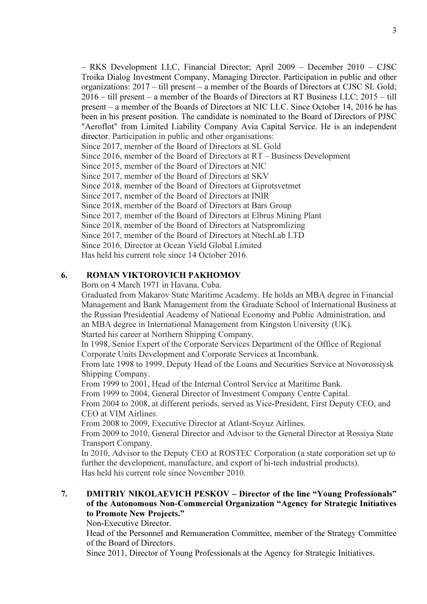– RKS Development LLC, Financial Director; April 2009 – December 2010 – CJSC Troika Dialog Investment Company, Managing Director. Participation in public and other organizations: 2017 – till present – a member of the Boards of Directors at CJSC SL Gold; 2016 – till present – a member of the Boards of Directors at RT Business LLC; 2015 – till present – a member of the Boards of Directors at NIC LLC. Since October 14, 2016 he has been in his present position. The candidate is nominated to the Board of Directors of PJSC "Aeroflot" from Limited Liability Company Avia Capital Service. He is an independent director. Participation in public and other organisations: Since 2017, member of the Board of Directors at SL Gold Since 2016, member of the Board of Directors at RT – Business Development Since 2015, member of the Board of Directors at NIC Since 2017, member of the Board of Directors at SKV Since 2018, member of the Board of Directors at Giprotsvetmet Since 2017, member of the Board of Directors at INIR Since 2018, member of the Board of Directors at Bars Group Since 2017, member of the Board of Directors at Elbrus Mining Plant Since 2018, member of the Board of Directors at Natspromlizing Since 2017, member of the Board of Directors at NtechLab LTD Since 2016, Director at Ocean Yield Global Limited

Has held his current role since 14 October 2016.

### 6. ROMAN VIKTOROVICH PAKHOMOV

Born on 4 March 1971 in Havana, Cuba.

Graduated from Makarov State Maritime Academy. He holds an MBA degree in Financial Management and Bank Management from the Graduate School of International Business at the Russian Presidential Academy of National Economy and Public Administration, and an MBA degree in International Management from Kingston University (UK). Started his career at Northern Shipping Company.

In 1998, Senior Expert of the Corporate Services Department of the Office of Regional Corporate Units Development and Corporate Services at Incombank.

From late 1998 to 1999, Deputy Head of the Loans and Securities Service at Novorossiysk Shipping Company.

From 1999 to 2001, Head of the Internal Control Service at Maritime Bank.

From 1999 to 2004, General Director of Investment Company Centre Capital.

From 2004 to 2008, at different periods, served as Vice-President, First Deputy CEO, and CEO at VIM Airlines.

From 2008 to 2009, Executive Director at Atlant-Soyuz Airlines.

From 2009 to 2010, General Director and Advisor to the General Director at Rossiya State Transport Company.

In 2010, Advisor to the Deputy CEO at ROSTEC Corporation (a state corporation set up to further the development, manufacture, and export of hi-tech industrial products). Has held his current role since November 2010.

## 7. DMITRIY NIKOLAEVICH PESKOV – Director of the line "Young Professionals" of the Autonomous Non-Commercial Organization "Agency for Strategic Initiatives to Promote New Projects."

Non-Executive Director.

Head of the Personnel and Remuneration Committee, member of the Strategy Committee of the Board of Directors.

Since 2011, Director of Young Professionals at the Agency for Strategic Initiatives.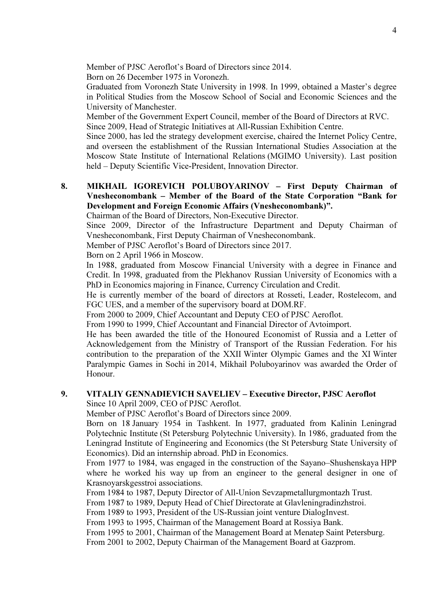Member of PJSC Aeroflot's Board of Directors since 2014.

Born on 26 December 1975 in Voronezh.

Graduated from Voronezh State University in 1998. In 1999, obtained a Master's degree in Political Studies from the Moscow School of Social and Economic Sciences and the University of Manchester.

Member of the Government Expert Council, member of the Board of Directors at RVC. Since 2009, Head of Strategic Initiatives at All-Russian Exhibition Centre.

Since 2000, has led the strategy development exercise, chaired the Internet Policy Centre, and overseen the establishment of the Russian International Studies Association at the Moscow State Institute of International Relations (MGIMO University). Last position held – Deputy Scientific Vice-President, Innovation Director.

### 8. MIKHAIL IGOREVICH POLUBOYARINOV – First Deputy Chairman of Vnesheconombank – Member of the Board of the State Corporation "Bank for Development and Foreign Economic Affairs (Vnesheconombank)".

Chairman of the Board of Directors, Non-Executive Director.

Since 2009, Director of the Infrastructure Department and Deputy Chairman of Vnesheconombank, First Deputy Chairman of Vnesheconombank.

Member of PJSC Aeroflot's Board of Directors since 2017.

Born on 2 April 1966 in Moscow.

In 1988, graduated from Moscow Financial University with a degree in Finance and Credit. In 1998, graduated from the Plekhanov Russian University of Economics with a PhD in Economics majoring in Finance, Currency Circulation and Credit.

He is currently member of the board of directors at Rosseti, Leader, Rostelecom, and FGC UES, and a member of the supervisory board at DOM.RF.

From 2000 to 2009, Chief Accountant and Deputy CEO of PJSC Aeroflot.

From 1990 to 1999, Chief Accountant and Financial Director of Avtoimport.

He has been awarded the title of the Honoured Economist of Russia and a Letter of Acknowledgement from the Ministry of Transport of the Russian Federation. For his contribution to the preparation of the XXII Winter Olympic Games and the XI Winter Paralympic Games in Sochi in 2014, Mikhail Poluboyarinov was awarded the Order of Honour.

# 9. VITALIY GENNADIEVICH SAVELIEV – Executive Director, PJSC Aeroflot

Since 10 April 2009, CEO of PJSC Aeroflot.

Member of PJSC Aeroflot's Board of Directors since 2009.

Born on 18 January 1954 in Tashkent. In 1977, graduated from Kalinin Leningrad Polytechnic Institute (St Petersburg Polytechnic University). In 1986, graduated from the Leningrad Institute of Engineering and Economics (the St Petersburg State University of Economics). Did an internship abroad. PhD in Economics.

From 1977 to 1984, was engaged in the construction of the Sayano–Shushenskaya HPP where he worked his way up from an engineer to the general designer in one of Krasnoyarskgesstroi associations.

From 1984 to 1987, Deputy Director of All-Union Sevzapmetallurgmontazh Trust.

From 1987 to 1989, Deputy Head of Chief Directorate at Glavleningradinzhstroi.

From 1989 to 1993, President of the US-Russian joint venture DialogInvest.

From 1993 to 1995, Chairman of the Management Board at Rossiya Bank.

From 1995 to 2001, Chairman of the Management Board at Menatep Saint Petersburg.

From 2001 to 2002, Deputy Chairman of the Management Board at Gazprom.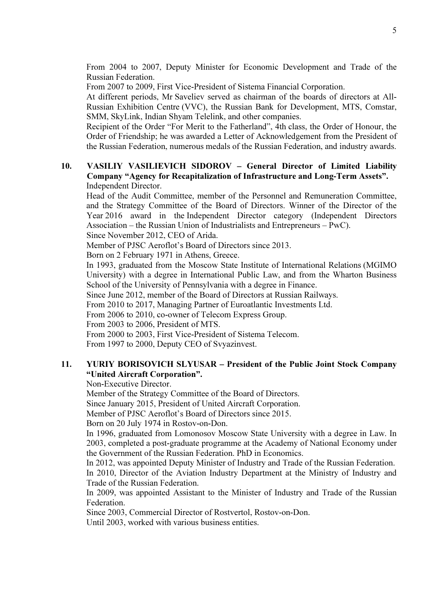From 2004 to 2007, Deputy Minister for Economic Development and Trade of the Russian Federation.

From 2007 to 2009, First Vice-President of Sistema Financial Corporation.

At different periods, Mr Saveliev served as chairman of the boards of directors at All-Russian Exhibition Centre (VVC), the Russian Bank for Development, MTS, Comstar, SMM, SkyLink, Indian Shyam Telelink, and other companies.

Recipient of the Order "For Merit to the Fatherland", 4th class, the Order of Honour, the Order of Friendship; he was awarded a Letter of Acknowledgement from the President of the Russian Federation, numerous medals of the Russian Federation, and industry awards.

### 10. VASILIY VASILIEVICH SIDOROV – General Director of Limited Liability Company "Agency for Recapitalization of Infrastructure and Long-Term Assets". Independent Director.

Head of the Audit Committee, member of the Personnel and Remuneration Committee, and the Strategy Committee of the Board of Directors. Winner of the Director of the Year 2016 award in the Independent Director category (Independent Directors Association – the Russian Union of Industrialists and Entrepreneurs – PwC). Since November 2012, CEO of Arida.

Member of PJSC Aeroflot's Board of Directors since 2013.

Born on 2 February 1971 in Athens, Greece.

In 1993, graduated from the Moscow State Institute of International Relations (MGIMO University) with a degree in International Public Law, and from the Wharton Business School of the University of Pennsylvania with a degree in Finance.

Since June 2012, member of the Board of Directors at Russian Railways.

From 2010 to 2017, Managing Partner of Euroatlantic Investments Ltd.

From 2006 to 2010, co-owner of Telecom Express Group.

From 2003 to 2006, President of MTS.

From 2000 to 2003, First Vice-President of Sistema Telecom.

From 1997 to 2000, Deputy CEO of Svyazinvest.

### 11. YURIY BORISOVICH SLYUSAR – President of the Public Joint Stock Company "United Aircraft Corporation".

Non-Executive Director.

Member of the Strategy Committee of the Board of Directors.

Since January 2015, President of United Aircraft Corporation.

Member of PJSC Aeroflot's Board of Directors since 2015.

Born on 20 July 1974 in Rostov-on-Don.

In 1996, graduated from Lomonosov Moscow State University with a degree in Law. In 2003, completed a post-graduate programme at the Academy of National Economy under the Government of the Russian Federation. PhD in Economics.

In 2012, was appointed Deputy Minister of Industry and Trade of the Russian Federation.

In 2010, Director of the Aviation Industry Department at the Ministry of Industry and Trade of the Russian Federation.

In 2009, was appointed Assistant to the Minister of Industry and Trade of the Russian Federation.

Since 2003, Commercial Director of Rostvertol, Rostov-on-Don.

Until 2003, worked with various business entities.